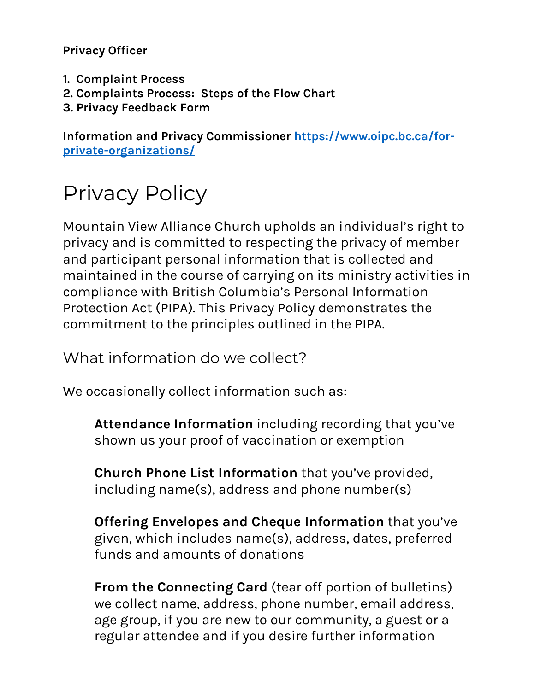**Privacy Officer** 

- **1. Complaint Process**
- **2. Complaints Process: Steps of the Flow Chart**
- **3. Privacy Feedback Form**

**Information and Privacy Commissioner [https://www.oipc.bc.ca/for](https://www.oipc.bc.ca/for-private-organizations/)[private-organizations/](https://www.oipc.bc.ca/for-private-organizations/)**

# Privacy Policy

Mountain View Alliance Church upholds an individual's right to privacy and is committed to respecting the privacy of member and participant personal information that is collected and maintained in the course of carrying on its ministry activities in compliance with British Columbia's Personal Information Protection Act (PIPA). This Privacy Policy demonstrates the commitment to the principles outlined in the PIPA.

What information do we collect?

We occasionally collect information such as:

**Attendance Information** including recording that you've shown us your proof of vaccination or exemption

**Church Phone List Information** that you've provided, including name(s), address and phone number(s)

**Offering Envelopes and Cheque Information** that you've given, which includes name(s), address, dates, preferred funds and amounts of donations

**From the Connecting Card** (tear off portion of bulletins) we collect name, address, phone number, email address, age group, if you are new to our community, a guest or a regular attendee and if you desire further information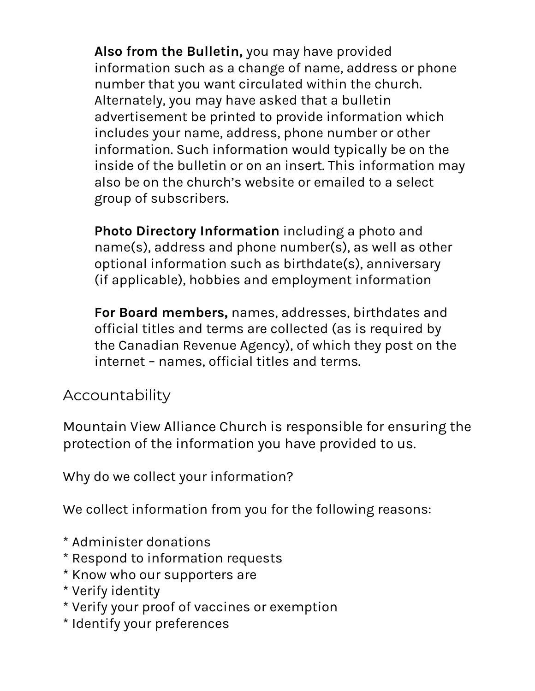**Also from the Bulletin,** you may have provided information such as a change of name, address or phone number that you want circulated within the church. Alternately, you may have asked that a bulletin advertisement be printed to provide information which includes your name, address, phone number or other information. Such information would typically be on the inside of the bulletin or on an insert. This information may also be on the church's website or emailed to a select group of subscribers.

**Photo Directory Information** including a photo and name(s), address and phone number(s), as well as other optional information such as birthdate(s), anniversary (if applicable), hobbies and employment information

**For Board members,** names, addresses, birthdates and official titles and terms are collected (as is required by the Canadian Revenue Agency), of which they post on the internet – names, official titles and terms.

#### Accountability

Mountain View Alliance Church is responsible for ensuring the protection of the information you have provided to us.

Why do we collect your information?

We collect information from you for the following reasons:

- \* Administer donations
- \* Respond to information requests
- \* Know who our supporters are
- \* Verify identity
- \* Verify your proof of vaccines or exemption
- \* Identify your preferences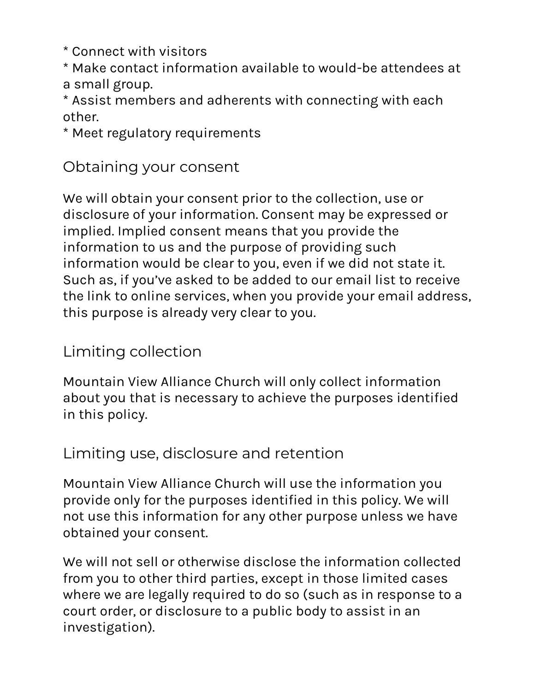\* Connect with visitors

\* Make contact information available to would-be attendees at a small group.

\* Assist members and adherents with connecting with each other.

\* Meet regulatory requirements

#### Obtaining your consent

We will obtain your consent prior to the collection, use or disclosure of your information. Consent may be expressed or implied. Implied consent means that you provide the information to us and the purpose of providing such information would be clear to you, even if we did not state it. Such as, if you've asked to be added to our email list to receive the link to online services, when you provide your email address, this purpose is already very clear to you.

## Limiting collection

Mountain View Alliance Church will only collect information about you that is necessary to achieve the purposes identified in this policy.

#### Limiting use, disclosure and retention

Mountain View Alliance Church will use the information you provide only for the purposes identified in this policy. We will not use this information for any other purpose unless we have obtained your consent.

We will not sell or otherwise disclose the information collected from you to other third parties, except in those limited cases where we are legally required to do so (such as in response to a court order, or disclosure to a public body to assist in an investigation).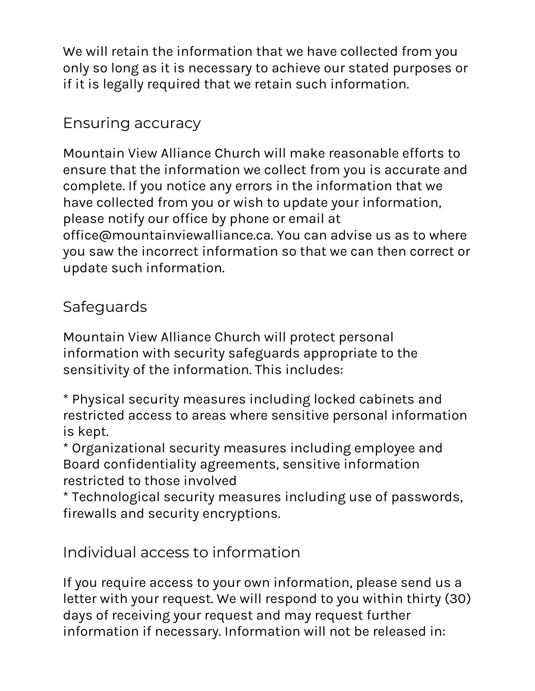We will retain the information that we have collected from you only so long as it is necessary to achieve our stated purposes or if it is legally required that we retain such information.

# Ensuring accuracy

Mountain View Alliance Church will make reasonable efforts to ensure that the information we collect from you is accurate and complete. If you notice any errors in the information that we have collected from you or wish to update your information, please notify our office by phone or email at office@mountainviewalliance.ca. You can advise us as to where you saw the incorrect information so that we can then correct or update such information.

## Safeguards

Mountain View Alliance Church will protect personal information with security safeguards appropriate to the sensitivity of the information. This includes:

\* Physical security measures including locked cabinets and restricted access to areas where sensitive personal information is kept.

\* Organizational security measures including employee and Board confidentiality agreements, sensitive information restricted to those involved

\* Technological security measures including use of passwords, firewalls and security encryptions.

Individual access to information

If you require access to your own information, please send us a letter with your request. We will respond to you within thirty (30) days of receiving your request and may request further information if necessary. Information will not be released in: